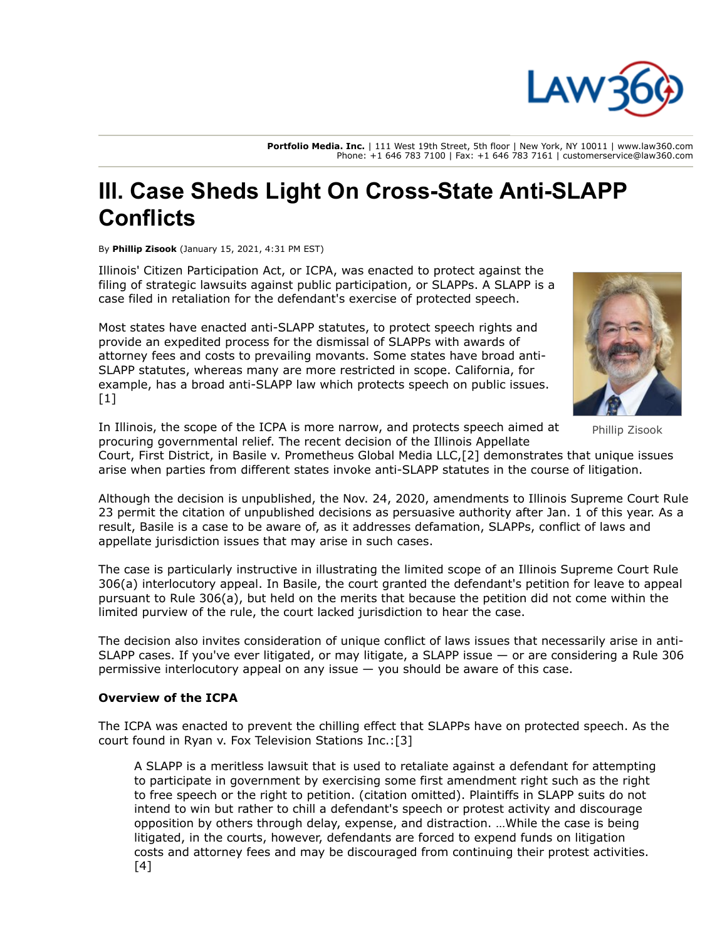

**Portfolio Media. Inc.** | 111 West 19th Street, 5th floor | New York, NY 10011 | www.law360.com Phone: +1 646 783 7100 | Fax: +1 646 783 7161 | customerservice@law360.com

# **Ill. Case Sheds Light On Cross-State Anti-SLAPP Conflicts**

By **Phillip Zisook** (January 15, 2021, 4:31 PM EST)

Illinois' Citizen Participation Act, or ICPA, was enacted to protect against the filing of strategic lawsuits against public participation, or SLAPPs. A SLAPP is a case filed in retaliation for the defendant's exercise of protected speech.

Most states have enacted anti-SLAPP statutes, to protect speech rights and provide an expedited process for the dismissal of SLAPPs with awards of attorney fees and costs to prevailing movants. Some states have broad anti-SLAPP statutes, whereas many are more restricted in scope. California, for example, has a broad anti-SLAPP law which protects speech on public issues. [1]



Phillip Zisook

In Illinois, the scope of the ICPA is more narrow, and protects speech aimed at procuring governmental relief. The recent decision of the Illinois Appellate

Court, First District, in Basile v. Prometheus Global Media LLC,[2] demonstrates that unique issues arise when parties from different states invoke anti-SLAPP statutes in the course of litigation.

Although the decision is unpublished, the Nov. 24, 2020, amendments to [Illinois Supreme Court Rule](https://www.law360.com/agencies/illinois-supreme-court) 23 permit the citation of unpublished decisions as persuasive authority after Jan. 1 of this year. As a result, Basile is a case to be aware of, as it addresses defamation, SLAPPs, conflict of laws and appellate jurisdiction issues that may arise in such cases.

The case is particularly instructive in illustrating the limited scope of an Illinois Supreme Court Rule 306(a) interlocutory appeal. In Basile, the court granted the defendant's petition for leave to appeal pursuant to Rule 306(a), but held on the merits that because the petition did not come within the limited purview of the rule, the court lacked jurisdiction to hear the case.

The decision also invites consideration of unique conflict of laws issues that necessarily arise in anti-SLAPP cases. If you've ever litigated, or may litigate, a SLAPP issue — or are considering a Rule 306 permissive interlocutory appeal on any issue — you should be aware of this case.

## **Overview of the ICPA**

The ICPA was enacted to prevent the chilling effect that SLAPPs have on protected speech. As the court found in Ryan v. Fox Television Stations Inc.:[3]

A SLAPP is a meritless lawsuit that is used to retaliate against a defendant for attempting to participate in government by exercising some first amendment right such as the right to free speech or the right to petition. (citation omitted). Plaintiffs in SLAPP suits do not intend to win but rather to chill a defendant's speech or protest activity and discourage opposition by others through delay, expense, and distraction. …While the case is being litigated, in the courts, however, defendants are forced to expend funds on litigation costs and attorney fees and may be discouraged from continuing their protest activities. [4]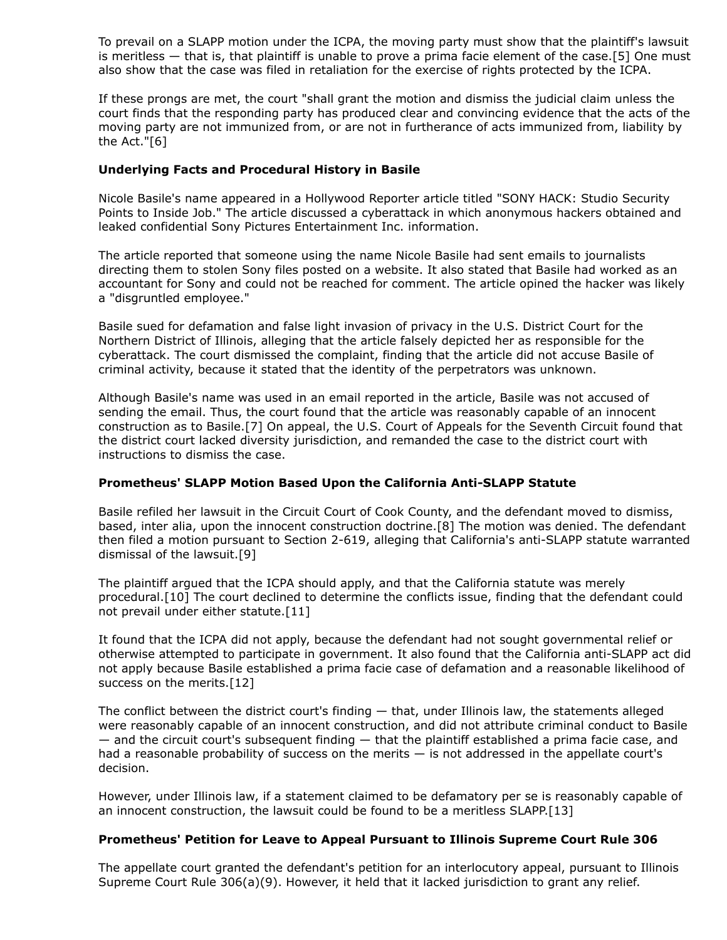To prevail on a SLAPP motion under the ICPA, the moving party must show that the plaintiff's lawsuit is meritless — that is, that plaintiff is unable to prove a prima facie element of the case.[5] One must also show that the case was filed in retaliation for the exercise of rights protected by the ICPA.

If these prongs are met, the court "shall grant the motion and dismiss the judicial claim unless the court finds that the responding party has produced clear and convincing evidence that the acts of the moving party are not immunized from, or are not in furtherance of acts immunized from, liability by the Act."[6]

## **Underlying Facts and Procedural History in Basile**

Nicole Basile's name appeared in a Hollywood Reporter article titled "SONY HACK: Studio Security Points to Inside Job." The article discussed a cyberattack in which anonymous hackers obtained and leaked confidential [Sony Pictures Entertainment Inc.](https://www.law360.com/companies/sony-pictures-entertainment-inc) information.

The article reported that someone using the name Nicole Basile had sent emails to journalists directing them to stolen Sony files posted on a website. It also stated that Basile had worked as an accountant for Sony and could not be reached for comment. The article opined the hacker was likely a "disgruntled employee."

Basile sued for defamation and false light invasion of privacy in the U.S. District Court for the [Northern District of Illinois, alleging that the article falsely depicted her as responsible for the](https://www.law360.com/agencies/u-s-district-court-for-the-northern-district-of-illinois) cyberattack. The court dismissed the complaint, finding that the article did not accuse Basile of criminal activity, because it stated that the identity of the perpetrators was unknown.

Although Basile's name was used in an email reported in the article, Basile was not accused of sending the email. Thus, the court found that the article was reasonably capable of an innocent construction as to Basile.[7] On appeal, the [U.S. Court of Appeals for the Seventh Circuit](https://www.law360.com/agencies/u-s-court-of-appeals-for-the-seventh-circuit) found that the district court lacked diversity jurisdiction, and remanded the case to the district court with instructions to dismiss the case.

## **Prometheus' SLAPP Motion Based Upon the California Anti-SLAPP Statute**

Basile refiled her lawsuit in the Circuit Court of Cook County, and the defendant moved to dismiss, based, inter alia, upon the innocent construction doctrine.[8] The motion was denied. The defendant then filed a motion pursuant to Section 2-619, alleging that California's anti-SLAPP statute warranted dismissal of the lawsuit.[9]

The plaintiff argued that the ICPA should apply, and that the California statute was merely procedural.[10] The court declined to determine the conflicts issue, finding that the defendant could not prevail under either statute.[11]

It found that the ICPA did not apply, because the defendant had not sought governmental relief or otherwise attempted to participate in government. It also found that the California anti-SLAPP act did not apply because Basile established a prima facie case of defamation and a reasonable likelihood of success on the merits.[12]

The conflict between the district court's finding — that, under Illinois law, the statements alleged were reasonably capable of an innocent construction, and did not attribute criminal conduct to Basile — and the circuit court's subsequent finding — that the plaintiff established a prima facie case, and had a reasonable probability of success on the merits — is not addressed in the appellate court's decision.

However, under Illinois law, if a statement claimed to be defamatory per se is reasonably capable of an innocent construction, the lawsuit could be found to be a meritless SLAPP.[13]

#### **Prometheus' Petition for Leave to Appeal Pursuant to Illinois Supreme Court Rule 306**

The appellate court granted the defendant's petition for an interlocutory appeal, pursuant to Illinois Supreme Court Rule 306(a)(9). However, it held that it lacked jurisdiction to grant any relief.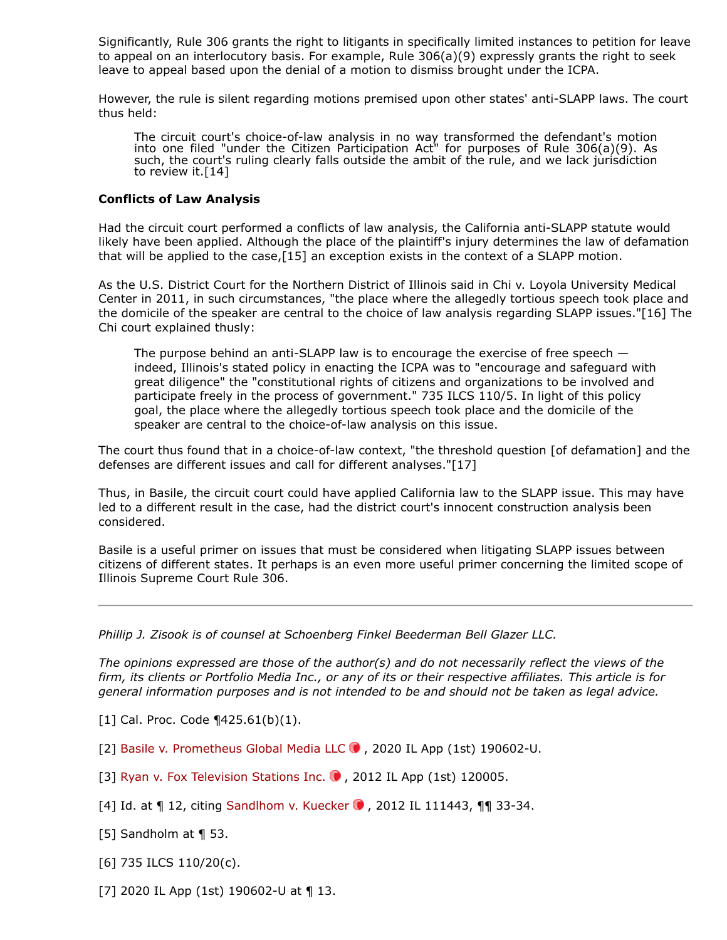Significantly, Rule 306 grants the right to litigants in specifically limited instances to petition for leave to appeal on an interlocutory basis. For example, Rule 306(a)(9) expressly grants the right to seek leave to appeal based upon the denial of a motion to dismiss brought under the ICPA.

However, the rule is silent regarding motions premised upon other states' anti-SLAPP laws. The court thus held:

The circuit court's choice-of-law analysis in no way transformed the defendant's motion into one filed "under the Citizen Participation Act" for purposes of Rule 306(a)(9). As such, the court's ruling clearly falls outside the ambit of the rule, and we lack jurisdiction to review it.[14]

#### **Conflicts of Law Analysis**

Had the circuit court performed a conflicts of law analysis, the California anti-SLAPP statute would likely have been applied. Although the place of the plaintiff's injury determines the law of defamation that will be applied to the case,[15] an exception exists in the context of a SLAPP motion.

As the U.S. District Court for the Northern District of Illinois said in Chi v. Loyola University Medical Center in 2011, in such circumstances, "the place where the allegedly tortious speech took place and the domicile of the speaker are central to the choice of law analysis regarding SLAPP issues."[16] The Chi court explained thusly:

The purpose behind an anti-SLAPP law is to encourage the exercise of free speech indeed, Illinois's stated policy in enacting the ICPA was to "encourage and safeguard with great diligence" the "constitutional rights of citizens and organizations to be involved and participate freely in the process of government." 735 ILCS 110/5. In light of this policy goal, the place where the allegedly tortious speech took place and the domicile of the speaker are central to the choice-of-law analysis on this issue.

The court thus found that in a choice-of-law context, "the threshold question [of defamation] and the defenses are different issues and call for different analyses."[17]

Thus, in Basile, the circuit court could have applied California law to the SLAPP issue. This may have led to a different result in the case, had the district court's innocent construction analysis been considered.

Basile is a useful primer on issues that must be considered when litigating SLAPP issues between citizens of different states. It perhaps is an even more useful primer concerning the limited scope of Illinois Supreme Court Rule 306.

#### *[Phillip J. Zisook](https://www.sfbbg.com/people/phillip-j-zisook/) is of counsel at [Schoenberg Finkel Beederman Bell Glazer LLC.](https://www.law360.com/firms/schoenberg-finkel)*

*The opinions expressed are those of the author(s) and do not necessarily reflect the views of the firm, its clients or Portfolio Media Inc., or any of its or their respective affiliates. This article is for general information purposes and is not intended to be and should not be taken as legal advice.*

[1] Cal. Proc. Code ¶425.61(b)(1).

[2] Basile v. Prometheus Global Media LLC  $\bullet$ , 2020 IL App (1st) 190602-U.

- [3] [Ryan v. Fox Television Stations Inc.](https://advance.lexis.com/api/search?q=2012%20Ill.%20App.%20LEXIS%20869&qlang=bool&origination=law360&internalOrigination=article_id%3D1344162%3Bcitation%3D2012%20Ill.%20App.%20LEXIS%20869&originationDetail=headline%3DIll.%20Case%20Sheds%20Light%20On%20Cross-State%20Anti-SLAPP%20Conflicts&)  $\bullet$ , 2012 IL App (1st) 120005.
- [4] Id. at  $\P$  12, citing Sandlhom v. Kuecker  $\bullet$  , 2012 IL 111443,  $\P$  $\P$  33-34.
- [5] Sandholm at ¶ 53.
- [6] 735 ILCS 110/20(c).
- [7] 2020 IL App (1st) 190602-U at ¶ 13.